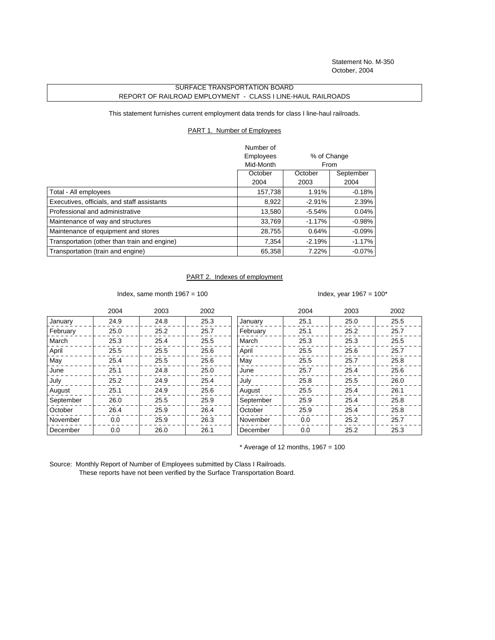Statement No. M-350 October, 2004

## SURFACE TRANSPORTATION BOARD REPORT OF RAILROAD EMPLOYMENT - CLASS I LINE-HAUL RAILROADS

This statement furnishes current employment data trends for class I line-haul railroads.

## PART 1. Number of Employees

|                                              | Number of |             |           |
|----------------------------------------------|-----------|-------------|-----------|
|                                              | Employees | % of Change |           |
|                                              | Mid-Month | From        |           |
|                                              | October   | October     | September |
|                                              | 2004      | 2003        | 2004      |
| Total - All employees                        | 157,738   | 1.91%       | $-0.18%$  |
| Executives, officials, and staff assistants  | 8,922     | $-2.91%$    | 2.39%     |
| Professional and administrative              | 13,580    | $-5.54%$    | $0.04\%$  |
| Maintenance of way and structures            | 33,769    | $-1.17%$    | $-0.98%$  |
| Maintenance of equipment and stores          | 28,755    | 0.64%       | $-0.09\%$ |
| Transportation (other than train and engine) | 7,354     | $-2.19%$    | $-1.17\%$ |
| Transportation (train and engine)            | 65,358    | 7.22%       | $-0.07\%$ |

## PART 2. Indexes of employment

Index, same month  $1967 = 100$  Index, year  $1967 = 100^*$ 

|           | 2004 | 2003 | 2002 |           | 2004 | 2003 | 2002 |
|-----------|------|------|------|-----------|------|------|------|
| January   | 24.9 | 24.8 | 25.3 | January   | 25.1 | 25.0 | 25.5 |
| February  | 25.0 | 25.2 | 25.7 | February  | 25.1 | 25.2 | 25.7 |
| March     | 25.3 | 25.4 | 25.5 | March     | 25.3 | 25.3 | 25.5 |
| April     | 25.5 | 25.5 | 25.6 | April     | 25.5 | 25.6 | 25.7 |
| May       | 25.4 | 25.5 | 25.6 | May       | 25.5 | 25.7 | 25.8 |
| June      | 25.1 | 24.8 | 25.0 | June      | 25.7 | 25.4 | 25.6 |
| July      | 25.2 | 24.9 | 25.4 | July      | 25.8 | 25.5 | 26.0 |
| August    | 25.1 | 24.9 | 25.6 | August    | 25.5 | 25.4 | 26.1 |
| September | 26.0 | 25.5 | 25.9 | September | 25.9 | 25.4 | 25.8 |
| October   | 26.4 | 25.9 | 26.4 | October   | 25.9 | 25.4 | 25.8 |
| November  | 0.0  | 25.9 | 26.3 | November  | 0.0  | 25.2 | 25.7 |
| December  | 0.0  | 26.0 | 26.1 | December  | 0.0  | 25.2 | 25.3 |

 $*$  Average of 12 months, 1967 = 100

Source: Monthly Report of Number of Employees submitted by Class I Railroads. These reports have not been verified by the Surface Transportation Board.